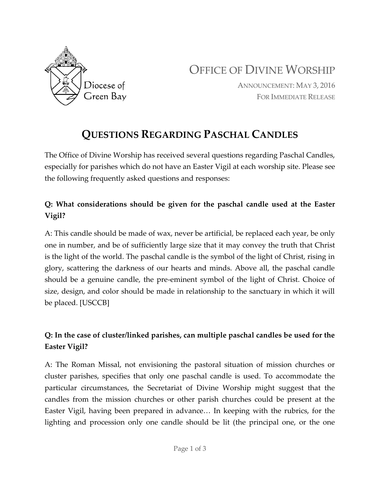

OFFICE OF DIVINE WORSHIP

ANNOUNCEMENT: MAY 3, 2016 FOR IMMEDIATE RELEASE

# **QUESTIONS REGARDING PASCHAL CANDLES**

The Office of Divine Worship has received several questions regarding Paschal Candles, especially for parishes which do not have an Easter Vigil at each worship site. Please see the following frequently asked questions and responses:

## **Q: What considerations should be given for the paschal candle used at the Easter Vigil?**

A: This candle should be made of wax, never be artificial, be replaced each year, be only one in number, and be of sufficiently large size that it may convey the truth that Christ is the light of the world. The paschal candle is the symbol of the light of Christ, rising in glory, scattering the darkness of our hearts and minds. Above all, the paschal candle should be a genuine candle, the pre-eminent symbol of the light of Christ. Choice of size, design, and color should be made in relationship to the sanctuary in which it will be placed. [USCCB]

## **Q: In the case of cluster/linked parishes, can multiple paschal candles be used for the Easter Vigil?**

A: The Roman Missal, not envisioning the pastoral situation of mission churches or cluster parishes, specifies that only one paschal candle is used. To accommodate the particular circumstances, the Secretariat of Divine Worship might suggest that the candles from the mission churches or other parish churches could be present at the Easter Vigil, having been prepared in advance… In keeping with the rubrics, for the lighting and procession only one candle should be lit (the principal one, or the one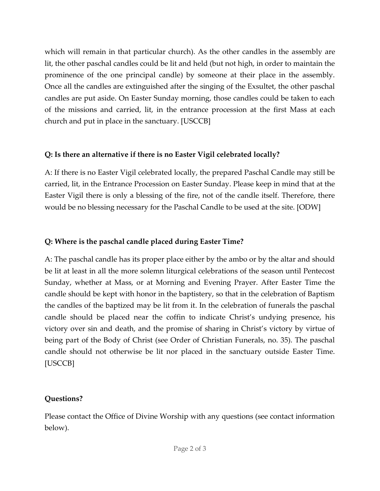which will remain in that particular church). As the other candles in the assembly are lit, the other paschal candles could be lit and held (but not high, in order to maintain the prominence of the one principal candle) by someone at their place in the assembly. Once all the candles are extinguished after the singing of the Exsultet, the other paschal candles are put aside. On Easter Sunday morning, those candles could be taken to each of the missions and carried, lit, in the entrance procession at the first Mass at each church and put in place in the sanctuary. [USCCB]

#### **Q: Is there an alternative if there is no Easter Vigil celebrated locally?**

A: If there is no Easter Vigil celebrated locally, the prepared Paschal Candle may still be carried, lit, in the Entrance Procession on Easter Sunday. Please keep in mind that at the Easter Vigil there is only a blessing of the fire, not of the candle itself. Therefore, there would be no blessing necessary for the Paschal Candle to be used at the site. [ODW]

#### **Q: Where is the paschal candle placed during Easter Time?**

A: The paschal candle has its proper place either by the ambo or by the altar and should be lit at least in all the more solemn liturgical celebrations of the season until Pentecost Sunday, whether at Mass, or at Morning and Evening Prayer. After Easter Time the candle should be kept with honor in the baptistery, so that in the celebration of Baptism the candles of the baptized may be lit from it. In the celebration of funerals the paschal candle should be placed near the coffin to indicate Christ's undying presence, his victory over sin and death, and the promise of sharing in Christ's victory by virtue of being part of the Body of Christ (see Order of Christian Funerals, no. 35). The paschal candle should not otherwise be lit nor placed in the sanctuary outside Easter Time. [USCCB]

### **Questions?**

Please contact the Office of Divine Worship with any questions (see contact information below).